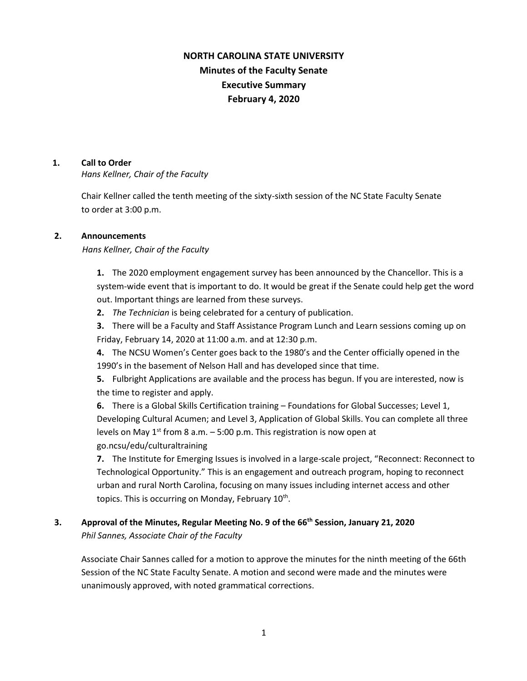# **NORTH CAROLINA STATE UNIVERSITY Minutes of the Faculty Senate Executive Summary February 4, 2020**

#### **1. Call to Order**

*Hans Kellner, Chair of the Faculty*

Chair Kellner called the tenth meeting of the sixty-sixth session of the NC State Faculty Senate to order at 3:00 p.m.

### **2. Announcements**

*Hans Kellner, Chair of the Faculty*

**1.** The 2020 employment engagement survey has been announced by the Chancellor. This is a system-wide event that is important to do. It would be great if the Senate could help get the word out. Important things are learned from these surveys.

**2.** *The Technician* is being celebrated for a century of publication.

**3.** There will be a Faculty and Staff Assistance Program Lunch and Learn sessions coming up on Friday, February 14, 2020 at 11:00 a.m. and at 12:30 p.m.

**4.** The NCSU Women's Center goes back to the 1980's and the Center officially opened in the 1990's in the basement of Nelson Hall and has developed since that time.

**5.** Fulbright Applications are available and the process has begun. If you are interested, now is the time to register and apply.

**6.** There is a Global Skills Certification training – Foundations for Global Successes; Level 1, Developing Cultural Acumen; and Level 3, Application of Global Skills. You can complete all three levels on May  $1^{st}$  from 8 a.m.  $-5:00$  p.m. This registration is now open at go.ncsu/edu/culturaltraining

**7.** The Institute for Emerging Issues is involved in a large-scale project, "Reconnect: Reconnect to Technological Opportunity." This is an engagement and outreach program, hoping to reconnect urban and rural North Carolina, focusing on many issues including internet access and other topics. This is occurring on Monday, February 10<sup>th</sup>.

# **3. Approval of the Minutes, Regular Meeting No. 9 of the 66th Session, January 21, 2020** *Phil Sannes, Associate Chair of the Faculty*

Associate Chair Sannes called for a motion to approve the minutes for the ninth meeting of the 66th Session of the NC State Faculty Senate. A motion and second were made and the minutes were unanimously approved, with noted grammatical corrections.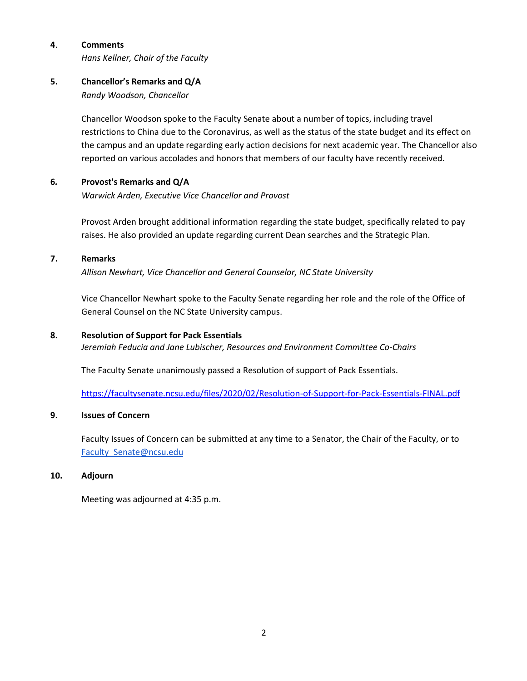### **4**. **Comments**

*Hans Kellner, Chair of the Faculty*

### **5. Chancellor's Remarks and Q/A**

*Randy Woodson, Chancellor*

Chancellor Woodson spoke to the Faculty Senate about a number of topics, including travel restrictions to China due to the Coronavirus, as well as the status of the state budget and its effect on the campus and an update regarding early action decisions for next academic year. The Chancellor also reported on various accolades and honors that members of our faculty have recently received.

### **6***.* **Provost's Remarks and Q/A**

*Warwick Arden, Executive Vice Chancellor and Provost*

Provost Arden brought additional information regarding the state budget, specifically related to pay raises. He also provided an update regarding current Dean searches and the Strategic Plan.

### **7. Remarks**

*Allison Newhart, Vice Chancellor and General Counselor, NC State University*

Vice Chancellor Newhart spoke to the Faculty Senate regarding her role and the role of the Office of General Counsel on the NC State University campus.

### **8. Resolution of Support for Pack Essentials**

*Jeremiah Feducia and Jane Lubischer, Resources and Environment Committee Co-Chairs*

The Faculty Senate unanimously passed a Resolution of support of Pack Essentials.

<https://facultysenate.ncsu.edu/files/2020/02/Resolution-of-Support-for-Pack-Essentials-FINAL.pdf>

### **9. Issues of Concern**

 Faculty Issues of Concern can be submitted at any time to a Senator, the Chair of the Faculty, or to [Faculty\\_Senate@ncsu.edu](mailto:Faculty_Senate@ncsu.edu)

### **10. Adjourn**

Meeting was adjourned at 4:35 p.m.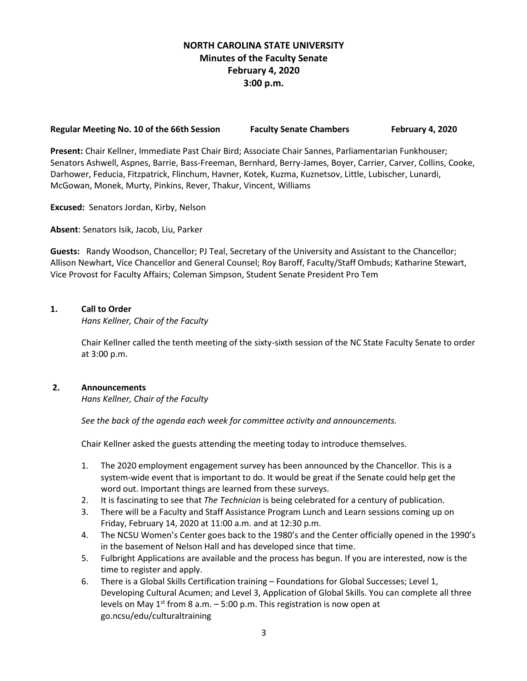# **NORTH CAROLINA STATE UNIVERSITY Minutes of the Faculty Senate February 4, 2020 3:00 p.m.**

#### **Regular Meeting No. 10 of the 66th Session Faculty Senate Chambers February 4, 2020**

**Present:** Chair Kellner, Immediate Past Chair Bird; Associate Chair Sannes, Parliamentarian Funkhouser; Senators Ashwell, Aspnes, Barrie, Bass-Freeman, Bernhard, Berry-James, Boyer, Carrier, Carver, Collins, Cooke, Darhower, Feducia, Fitzpatrick, Flinchum, Havner, Kotek, Kuzma, Kuznetsov, Little, Lubischer, Lunardi, McGowan, Monek, Murty, Pinkins, Rever, Thakur, Vincent, Williams

**Excused:** Senators Jordan, Kirby, Nelson

**Absent**: Senators Isik, Jacob, Liu, Parker

**Guests:** Randy Woodson, Chancellor; PJ Teal, Secretary of the University and Assistant to the Chancellor; Allison Newhart, Vice Chancellor and General Counsel; Roy Baroff, Faculty/Staff Ombuds; Katharine Stewart, Vice Provost for Faculty Affairs; Coleman Simpson, Student Senate President Pro Tem

### **1. Call to Order**

*Hans Kellner, Chair of the Faculty*

Chair Kellner called the tenth meeting of the sixty-sixth session of the NC State Faculty Senate to order at 3:00 p.m.

### **2. Announcements**

*Hans Kellner, Chair of the Faculty*

 *See the back of the agenda each week for committee activity and announcements.*

Chair Kellner asked the guests attending the meeting today to introduce themselves.

- 1. The 2020 employment engagement survey has been announced by the Chancellor. This is a system-wide event that is important to do. It would be great if the Senate could help get the word out. Important things are learned from these surveys.
- 2. It is fascinating to see that *The Technician* is being celebrated for a century of publication.
- 3. There will be a Faculty and Staff Assistance Program Lunch and Learn sessions coming up on Friday, February 14, 2020 at 11:00 a.m. and at 12:30 p.m.
- 4. The NCSU Women's Center goes back to the 1980's and the Center officially opened in the 1990's in the basement of Nelson Hall and has developed since that time.
- 5. Fulbright Applications are available and the process has begun. If you are interested, now is the time to register and apply.
- 6. There is a Global Skills Certification training Foundations for Global Successes; Level 1, Developing Cultural Acumen; and Level 3, Application of Global Skills. You can complete all three levels on May  $1^{st}$  from 8 a.m.  $-5:00$  p.m. This registration is now open at go.ncsu/edu/culturaltraining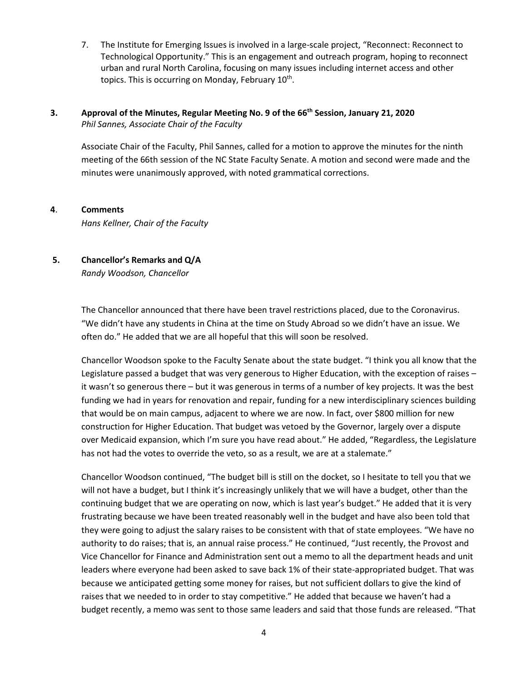7. The Institute for Emerging Issues is involved in a large-scale project, "Reconnect: Reconnect to Technological Opportunity." This is an engagement and outreach program, hoping to reconnect urban and rural North Carolina, focusing on many issues including internet access and other topics. This is occurring on Monday, February 10<sup>th</sup>.

### **3. Approval of the Minutes, Regular Meeting No. 9 of the 66th Session, January 21, 2020** *Phil Sannes, Associate Chair of the Faculty*

Associate Chair of the Faculty, Phil Sannes, called for a motion to approve the minutes for the ninth meeting of the 66th session of the NC State Faculty Senate. A motion and second were made and the minutes were unanimously approved, with noted grammatical corrections.

### **4**. **Comments**

*Hans Kellner, Chair of the Faculty*

# **5. Chancellor's Remarks and Q/A**

*Randy Woodson, Chancellor*

The Chancellor announced that there have been travel restrictions placed, due to the Coronavirus. "We didn't have any students in China at the time on Study Abroad so we didn't have an issue. We often do." He added that we are all hopeful that this will soon be resolved.

Chancellor Woodson spoke to the Faculty Senate about the state budget. "I think you all know that the Legislature passed a budget that was very generous to Higher Education, with the exception of raises – it wasn't so generous there – but it was generous in terms of a number of key projects. It was the best funding we had in years for renovation and repair, funding for a new interdisciplinary sciences building that would be on main campus, adjacent to where we are now. In fact, over \$800 million for new construction for Higher Education. That budget was vetoed by the Governor, largely over a dispute over Medicaid expansion, which I'm sure you have read about." He added, "Regardless, the Legislature has not had the votes to override the veto, so as a result, we are at a stalemate."

Chancellor Woodson continued, "The budget bill is still on the docket, so I hesitate to tell you that we will not have a budget, but I think it's increasingly unlikely that we will have a budget, other than the continuing budget that we are operating on now, which is last year's budget." He added that it is very frustrating because we have been treated reasonably well in the budget and have also been told that they were going to adjust the salary raises to be consistent with that of state employees. "We have no authority to do raises; that is, an annual raise process." He continued, "Just recently, the Provost and Vice Chancellor for Finance and Administration sent out a memo to all the department heads and unit leaders where everyone had been asked to save back 1% of their state-appropriated budget. That was because we anticipated getting some money for raises, but not sufficient dollars to give the kind of raises that we needed to in order to stay competitive." He added that because we haven't had a budget recently, a memo was sent to those same leaders and said that those funds are released. "That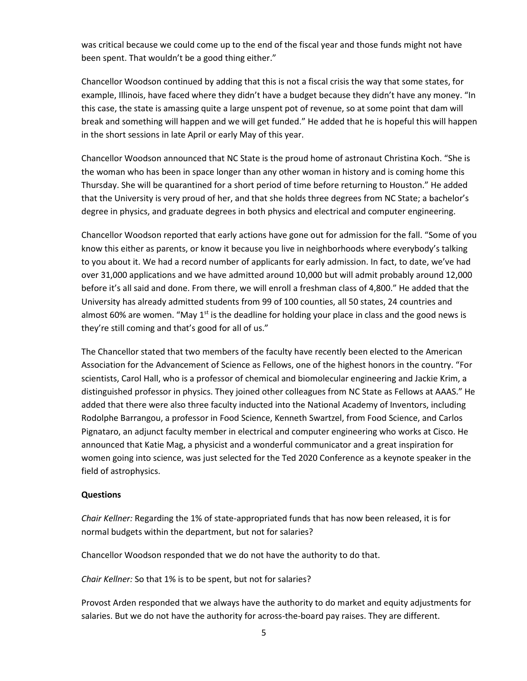was critical because we could come up to the end of the fiscal year and those funds might not have been spent. That wouldn't be a good thing either."

Chancellor Woodson continued by adding that this is not a fiscal crisis the way that some states, for example, Illinois, have faced where they didn't have a budget because they didn't have any money. "In this case, the state is amassing quite a large unspent pot of revenue, so at some point that dam will break and something will happen and we will get funded." He added that he is hopeful this will happen in the short sessions in late April or early May of this year.

Chancellor Woodson announced that NC State is the proud home of astronaut Christina Koch. "She is the woman who has been in space longer than any other woman in history and is coming home this Thursday. She will be quarantined for a short period of time before returning to Houston." He added that the University is very proud of her, and that she holds three degrees from NC State; a bachelor's degree in physics, and graduate degrees in both physics and electrical and computer engineering.

Chancellor Woodson reported that early actions have gone out for admission for the fall. "Some of you know this either as parents, or know it because you live in neighborhoods where everybody's talking to you about it. We had a record number of applicants for early admission. In fact, to date, we've had over 31,000 applications and we have admitted around 10,000 but will admit probably around 12,000 before it's all said and done. From there, we will enroll a freshman class of 4,800." He added that the University has already admitted students from 99 of 100 counties, all 50 states, 24 countries and almost 60% are women. "May  $1<sup>st</sup>$  is the deadline for holding your place in class and the good news is they're still coming and that's good for all of us."

The Chancellor stated that two members of the faculty have recently been elected to the American Association for the Advancement of Science as Fellows, one of the highest honors in the country. "For scientists, Carol Hall, who is a professor of chemical and biomolecular engineering and Jackie Krim, a distinguished professor in physics. They joined other colleagues from NC State as Fellows at AAAS." He added that there were also three faculty inducted into the National Academy of Inventors, including Rodolphe Barrangou, a professor in Food Science, Kenneth Swartzel, from Food Science, and Carlos Pignataro, an adjunct faculty member in electrical and computer engineering who works at Cisco. He announced that Katie Mag, a physicist and a wonderful communicator and a great inspiration for women going into science, was just selected for the Ted 2020 Conference as a keynote speaker in the field of astrophysics.

### **Questions**

*Chair Kellner:* Regarding the 1% of state-appropriated funds that has now been released, it is for normal budgets within the department, but not for salaries?

Chancellor Woodson responded that we do not have the authority to do that.

*Chair Kellner:* So that 1% is to be spent, but not for salaries?

Provost Arden responded that we always have the authority to do market and equity adjustments for salaries. But we do not have the authority for across-the-board pay raises. They are different.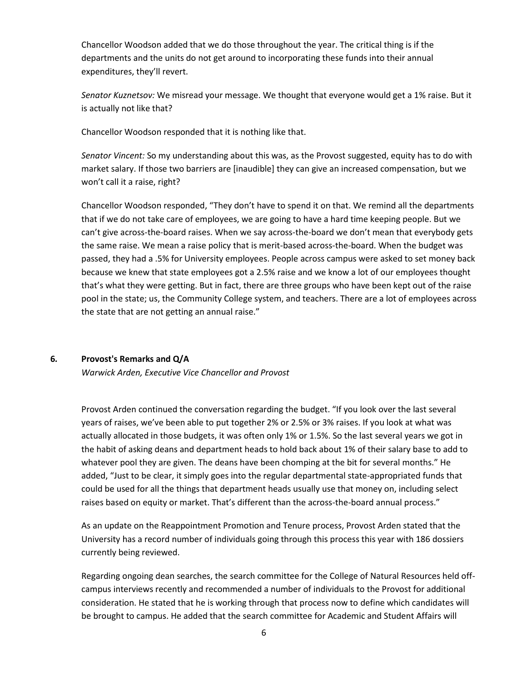Chancellor Woodson added that we do those throughout the year. The critical thing is if the departments and the units do not get around to incorporating these funds into their annual expenditures, they'll revert.

*Senator Kuznetsov:* We misread your message. We thought that everyone would get a 1% raise. But it is actually not like that?

Chancellor Woodson responded that it is nothing like that.

*Senator Vincent:* So my understanding about this was, as the Provost suggested, equity has to do with market salary. If those two barriers are [inaudible] they can give an increased compensation, but we won't call it a raise, right?

Chancellor Woodson responded, "They don't have to spend it on that. We remind all the departments that if we do not take care of employees, we are going to have a hard time keeping people. But we can't give across-the-board raises. When we say across-the-board we don't mean that everybody gets the same raise. We mean a raise policy that is merit-based across-the-board. When the budget was passed, they had a .5% for University employees. People across campus were asked to set money back because we knew that state employees got a 2.5% raise and we know a lot of our employees thought that's what they were getting. But in fact, there are three groups who have been kept out of the raise pool in the state; us, the Community College system, and teachers. There are a lot of employees across the state that are not getting an annual raise."

### **6***.* **Provost's Remarks and Q/A**

*Warwick Arden, Executive Vice Chancellor and Provost*

Provost Arden continued the conversation regarding the budget. "If you look over the last several years of raises, we've been able to put together 2% or 2.5% or 3% raises. If you look at what was actually allocated in those budgets, it was often only 1% or 1.5%. So the last several years we got in the habit of asking deans and department heads to hold back about 1% of their salary base to add to whatever pool they are given. The deans have been chomping at the bit for several months." He added, "Just to be clear, it simply goes into the regular departmental state-appropriated funds that could be used for all the things that department heads usually use that money on, including select raises based on equity or market. That's different than the across-the-board annual process."

As an update on the Reappointment Promotion and Tenure process, Provost Arden stated that the University has a record number of individuals going through this process this year with 186 dossiers currently being reviewed.

Regarding ongoing dean searches, the search committee for the College of Natural Resources held offcampus interviews recently and recommended a number of individuals to the Provost for additional consideration. He stated that he is working through that process now to define which candidates will be brought to campus. He added that the search committee for Academic and Student Affairs will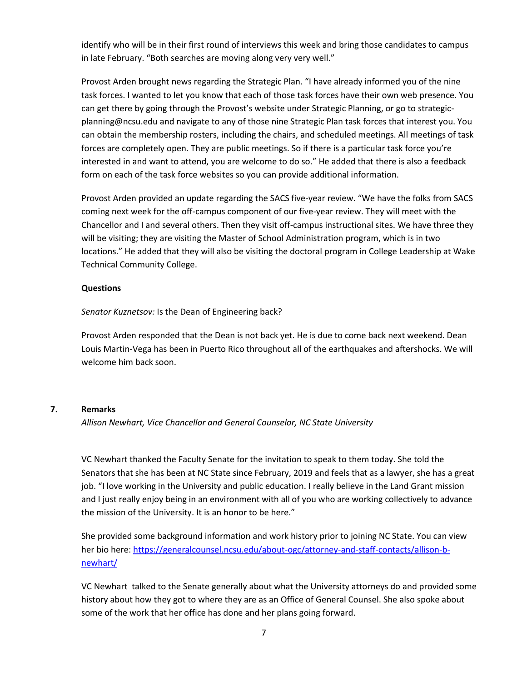identify who will be in their first round of interviews this week and bring those candidates to campus in late February. "Both searches are moving along very very well."

Provost Arden brought news regarding the Strategic Plan. "I have already informed you of the nine task forces. I wanted to let you know that each of those task forces have their own web presence. You can get there by going through the Provost's website under Strategic Planning, or go to strategicplanning@ncsu.edu and navigate to any of those nine Strategic Plan task forces that interest you. You can obtain the membership rosters, including the chairs, and scheduled meetings. All meetings of task forces are completely open. They are public meetings. So if there is a particular task force you're interested in and want to attend, you are welcome to do so." He added that there is also a feedback form on each of the task force websites so you can provide additional information.

Provost Arden provided an update regarding the SACS five-year review. "We have the folks from SACS coming next week for the off-campus component of our five-year review. They will meet with the Chancellor and I and several others. Then they visit off-campus instructional sites. We have three they will be visiting; they are visiting the Master of School Administration program, which is in two locations." He added that they will also be visiting the doctoral program in College Leadership at Wake Technical Community College.

### **Questions**

*Senator Kuznetsov:* Is the Dean of Engineering back?

Provost Arden responded that the Dean is not back yet. He is due to come back next weekend. Dean Louis Martin-Vega has been in Puerto Rico throughout all of the earthquakes and aftershocks. We will welcome him back soon.

### **7. Remarks**

*Allison Newhart, Vice Chancellor and General Counselor, NC State University*

VC Newhart thanked the Faculty Senate for the invitation to speak to them today. She told the Senators that she has been at NC State since February, 2019 and feels that as a lawyer, she has a great job. "I love working in the University and public education. I really believe in the Land Grant mission and I just really enjoy being in an environment with all of you who are working collectively to advance the mission of the University. It is an honor to be here."

She provided some background information and work history prior to joining NC State. You can view her bio here[: https://generalcounsel.ncsu.edu/about-ogc/attorney-and-staff-contacts/allison-b](https://generalcounsel.ncsu.edu/about-ogc/attorney-and-staff-contacts/allison-b-newhart/)[newhart/](https://generalcounsel.ncsu.edu/about-ogc/attorney-and-staff-contacts/allison-b-newhart/)

VC Newhart talked to the Senate generally about what the University attorneys do and provided some history about how they got to where they are as an Office of General Counsel. She also spoke about some of the work that her office has done and her plans going forward.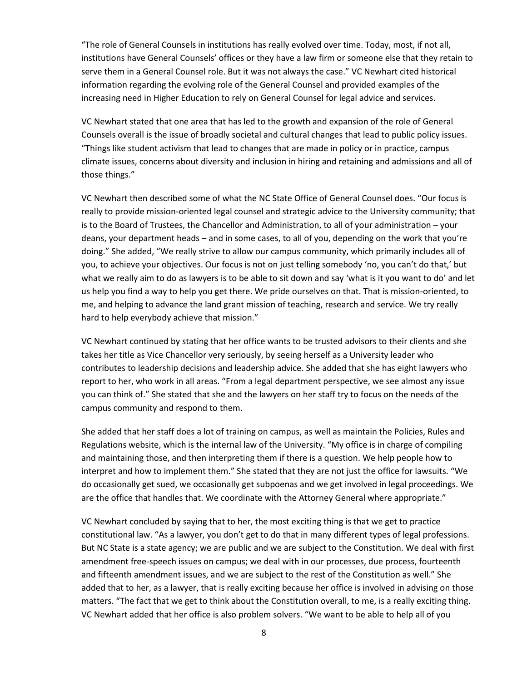"The role of General Counsels in institutions has really evolved over time. Today, most, if not all, institutions have General Counsels' offices or they have a law firm or someone else that they retain to serve them in a General Counsel role. But it was not always the case." VC Newhart cited historical information regarding the evolving role of the General Counsel and provided examples of the increasing need in Higher Education to rely on General Counsel for legal advice and services.

VC Newhart stated that one area that has led to the growth and expansion of the role of General Counsels overall is the issue of broadly societal and cultural changes that lead to public policy issues. "Things like student activism that lead to changes that are made in policy or in practice, campus climate issues, concerns about diversity and inclusion in hiring and retaining and admissions and all of those things."

VC Newhart then described some of what the NC State Office of General Counsel does. "Our focus is really to provide mission-oriented legal counsel and strategic advice to the University community; that is to the Board of Trustees, the Chancellor and Administration, to all of your administration – your deans, your department heads – and in some cases, to all of you, depending on the work that you're doing." She added, "We really strive to allow our campus community, which primarily includes all of you, to achieve your objectives. Our focus is not on just telling somebody 'no, you can't do that,' but what we really aim to do as lawyers is to be able to sit down and say 'what is it you want to do' and let us help you find a way to help you get there. We pride ourselves on that. That is mission-oriented, to me, and helping to advance the land grant mission of teaching, research and service. We try really hard to help everybody achieve that mission."

VC Newhart continued by stating that her office wants to be trusted advisors to their clients and she takes her title as Vice Chancellor very seriously, by seeing herself as a University leader who contributes to leadership decisions and leadership advice. She added that she has eight lawyers who report to her, who work in all areas. "From a legal department perspective, we see almost any issue you can think of." She stated that she and the lawyers on her staff try to focus on the needs of the campus community and respond to them.

She added that her staff does a lot of training on campus, as well as maintain the Policies, Rules and Regulations website, which is the internal law of the University. "My office is in charge of compiling and maintaining those, and then interpreting them if there is a question. We help people how to interpret and how to implement them." She stated that they are not just the office for lawsuits. "We do occasionally get sued, we occasionally get subpoenas and we get involved in legal proceedings. We are the office that handles that. We coordinate with the Attorney General where appropriate."

VC Newhart concluded by saying that to her, the most exciting thing is that we get to practice constitutional law. "As a lawyer, you don't get to do that in many different types of legal professions. But NC State is a state agency; we are public and we are subject to the Constitution. We deal with first amendment free-speech issues on campus; we deal with in our processes, due process, fourteenth and fifteenth amendment issues, and we are subject to the rest of the Constitution as well." She added that to her, as a lawyer, that is really exciting because her office is involved in advising on those matters. "The fact that we get to think about the Constitution overall, to me, is a really exciting thing. VC Newhart added that her office is also problem solvers. "We want to be able to help all of you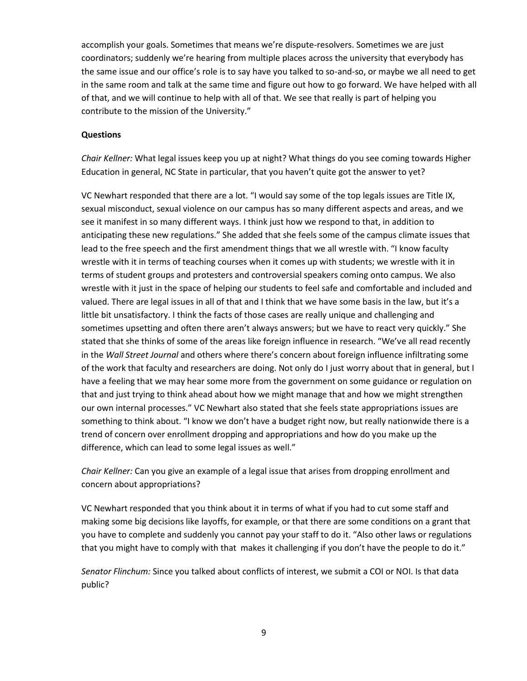accomplish your goals. Sometimes that means we're dispute-resolvers. Sometimes we are just coordinators; suddenly we're hearing from multiple places across the university that everybody has the same issue and our office's role is to say have you talked to so-and-so, or maybe we all need to get in the same room and talk at the same time and figure out how to go forward. We have helped with all of that, and we will continue to help with all of that. We see that really is part of helping you contribute to the mission of the University."

#### **Questions**

*Chair Kellner:* What legal issues keep you up at night? What things do you see coming towards Higher Education in general, NC State in particular, that you haven't quite got the answer to yet?

VC Newhart responded that there are a lot. "I would say some of the top legals issues are Title IX, sexual misconduct, sexual violence on our campus has so many different aspects and areas, and we see it manifest in so many different ways. I think just how we respond to that, in addition to anticipating these new regulations." She added that she feels some of the campus climate issues that lead to the free speech and the first amendment things that we all wrestle with. "I know faculty wrestle with it in terms of teaching courses when it comes up with students; we wrestle with it in terms of student groups and protesters and controversial speakers coming onto campus. We also wrestle with it just in the space of helping our students to feel safe and comfortable and included and valued. There are legal issues in all of that and I think that we have some basis in the law, but it's a little bit unsatisfactory. I think the facts of those cases are really unique and challenging and sometimes upsetting and often there aren't always answers; but we have to react very quickly." She stated that she thinks of some of the areas like foreign influence in research. "We've all read recently in the *Wall Street Journal* and others where there's concern about foreign influence infiltrating some of the work that faculty and researchers are doing. Not only do I just worry about that in general, but I have a feeling that we may hear some more from the government on some guidance or regulation on that and just trying to think ahead about how we might manage that and how we might strengthen our own internal processes." VC Newhart also stated that she feels state appropriations issues are something to think about. "I know we don't have a budget right now, but really nationwide there is a trend of concern over enrollment dropping and appropriations and how do you make up the difference, which can lead to some legal issues as well."

*Chair Kellner:* Can you give an example of a legal issue that arises from dropping enrollment and concern about appropriations?

VC Newhart responded that you think about it in terms of what if you had to cut some staff and making some big decisions like layoffs, for example, or that there are some conditions on a grant that you have to complete and suddenly you cannot pay your staff to do it. "Also other laws or regulations that you might have to comply with that makes it challenging if you don't have the people to do it."

*Senator Flinchum:* Since you talked about conflicts of interest, we submit a COI or NOI. Is that data public?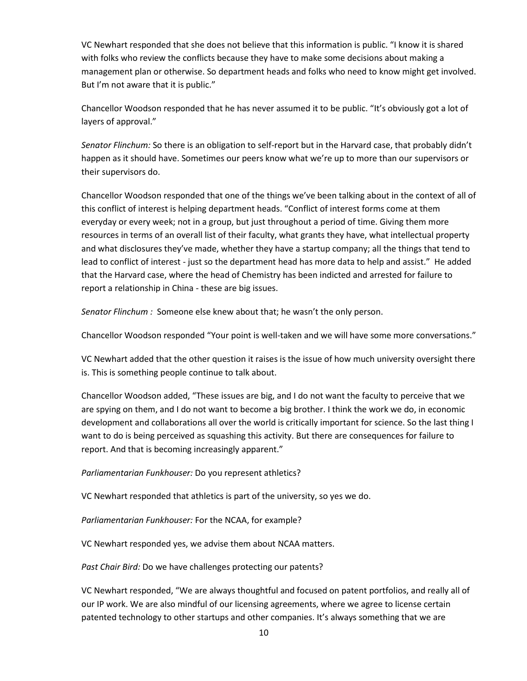VC Newhart responded that she does not believe that this information is public. "I know it is shared with folks who review the conflicts because they have to make some decisions about making a management plan or otherwise. So department heads and folks who need to know might get involved. But I'm not aware that it is public."

Chancellor Woodson responded that he has never assumed it to be public. "It's obviously got a lot of layers of approval."

*Senator Flinchum:* So there is an obligation to self-report but in the Harvard case, that probably didn't happen as it should have. Sometimes our peers know what we're up to more than our supervisors or their supervisors do.

Chancellor Woodson responded that one of the things we've been talking about in the context of all of this conflict of interest is helping department heads. "Conflict of interest forms come at them everyday or every week; not in a group, but just throughout a period of time. Giving them more resources in terms of an overall list of their faculty, what grants they have, what intellectual property and what disclosures they've made, whether they have a startup company; all the things that tend to lead to conflict of interest - just so the department head has more data to help and assist." He added that the Harvard case, where the head of Chemistry has been indicted and arrested for failure to report a relationship in China - these are big issues.

*Senator Flinchum :* Someone else knew about that; he wasn't the only person.

Chancellor Woodson responded "Your point is well-taken and we will have some more conversations."

VC Newhart added that the other question it raises is the issue of how much university oversight there is. This is something people continue to talk about.

Chancellor Woodson added, "These issues are big, and I do not want the faculty to perceive that we are spying on them, and I do not want to become a big brother. I think the work we do, in economic development and collaborations all over the world is critically important for science. So the last thing I want to do is being perceived as squashing this activity. But there are consequences for failure to report. And that is becoming increasingly apparent."

*Parliamentarian Funkhouser:* Do you represent athletics?

VC Newhart responded that athletics is part of the university, so yes we do.

*Parliamentarian Funkhouser:* For the NCAA, for example?

VC Newhart responded yes, we advise them about NCAA matters.

*Past Chair Bird:* Do we have challenges protecting our patents?

VC Newhart responded, "We are always thoughtful and focused on patent portfolios, and really all of our IP work. We are also mindful of our licensing agreements, where we agree to license certain patented technology to other startups and other companies. It's always something that we are